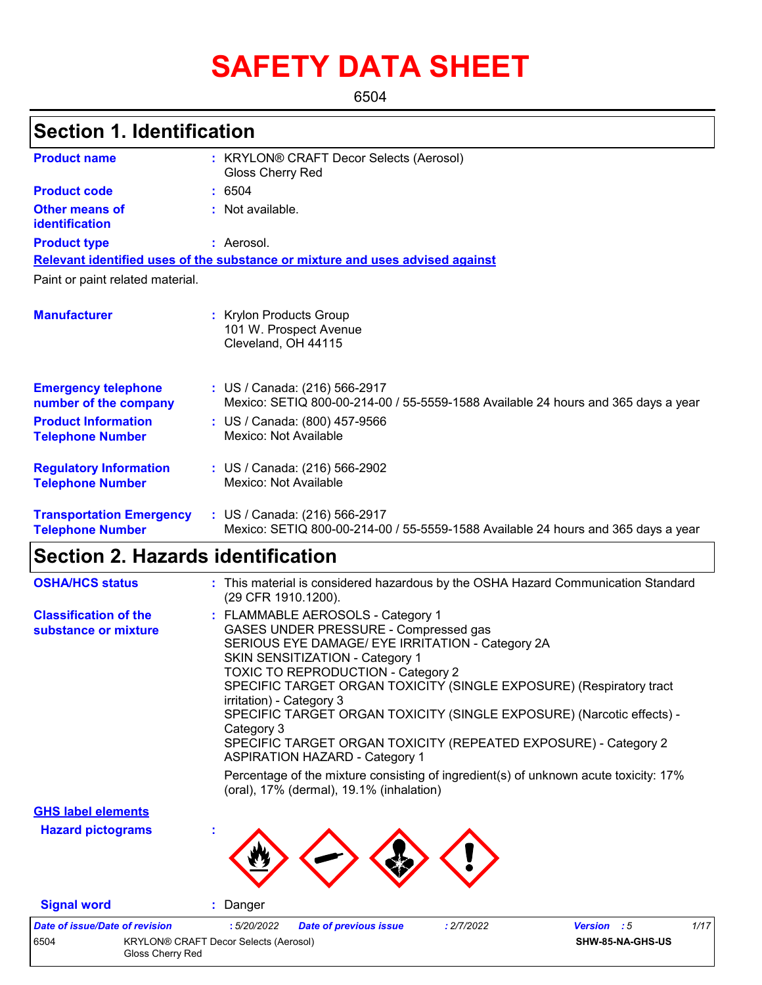# **SAFETY DATA SHEET**

6504

## **Section 1. Identification**

| <b>Product name</b>                                        | : KRYLON® CRAFT Decor Selects (Aerosol)<br>Gloss Cherry Red                                                        |
|------------------------------------------------------------|--------------------------------------------------------------------------------------------------------------------|
| <b>Product code</b>                                        | : 6504                                                                                                             |
| Other means of<br>identification                           | : Not available.                                                                                                   |
| <b>Product type</b>                                        | : Aerosol.                                                                                                         |
|                                                            | Relevant identified uses of the substance or mixture and uses advised against                                      |
| Paint or paint related material.                           |                                                                                                                    |
| <b>Manufacturer</b>                                        | : Krylon Products Group<br>101 W. Prospect Avenue<br>Cleveland, OH 44115                                           |
| <b>Emergency telephone</b><br>number of the company        | : US / Canada: (216) 566-2917<br>Mexico: SETIQ 800-00-214-00 / 55-5559-1588 Available 24 hours and 365 days a year |
| <b>Product Information</b><br><b>Telephone Number</b>      | : US / Canada: (800) 457-9566<br>Mexico: Not Available                                                             |
| <b>Regulatory Information</b><br><b>Telephone Number</b>   | : US / Canada: (216) 566-2902<br>Mexico: Not Available                                                             |
| <b>Transportation Emergency</b><br><b>Telephone Number</b> | : US / Canada: (216) 566-2917<br>Mexico: SETIQ 800-00-214-00 / 55-5559-1588 Available 24 hours and 365 days a year |

## **Section 2. Hazards identification**

| <b>OSHA/HCS status</b>                               | : This material is considered hazardous by the OSHA Hazard Communication Standard<br>(29 CFR 1910.1200).                                                                                                                                                                                                                                                                                                                                                                                                             |
|------------------------------------------------------|----------------------------------------------------------------------------------------------------------------------------------------------------------------------------------------------------------------------------------------------------------------------------------------------------------------------------------------------------------------------------------------------------------------------------------------------------------------------------------------------------------------------|
| <b>Classification of the</b><br>substance or mixture | : FLAMMABLE AEROSOLS - Category 1<br>GASES UNDER PRESSURE - Compressed gas<br>SERIOUS EYE DAMAGE/ EYE IRRITATION - Category 2A<br>SKIN SENSITIZATION - Category 1<br><b>TOXIC TO REPRODUCTION - Category 2</b><br>SPECIFIC TARGET ORGAN TOXICITY (SINGLE EXPOSURE) (Respiratory tract<br>irritation) - Category 3<br>SPECIFIC TARGET ORGAN TOXICITY (SINGLE EXPOSURE) (Narcotic effects) -<br>Category 3<br>SPECIFIC TARGET ORGAN TOXICITY (REPEATED EXPOSURE) - Category 2<br><b>ASPIRATION HAZARD - Category 1</b> |
|                                                      | Percentage of the mixture consisting of ingredient(s) of unknown acute toxicity: 17%<br>(oral), 17% (dermal), 19.1% (inhalation)                                                                                                                                                                                                                                                                                                                                                                                     |
| <b>GHS label elements</b>                            |                                                                                                                                                                                                                                                                                                                                                                                                                                                                                                                      |
| <b>Hazard pictograms</b>                             |                                                                                                                                                                                                                                                                                                                                                                                                                                                                                                                      |

**Signal word :** Danger

*Date of issue/Date of revision* **:** *5/20/2022 Date of previous issue : 2/7/2022 Version : 5 1/17* 6504 KRYLON® CRAFT Decor Selects (Aerosol) Gloss Cherry Red **SHW-85-NA-GHS-US**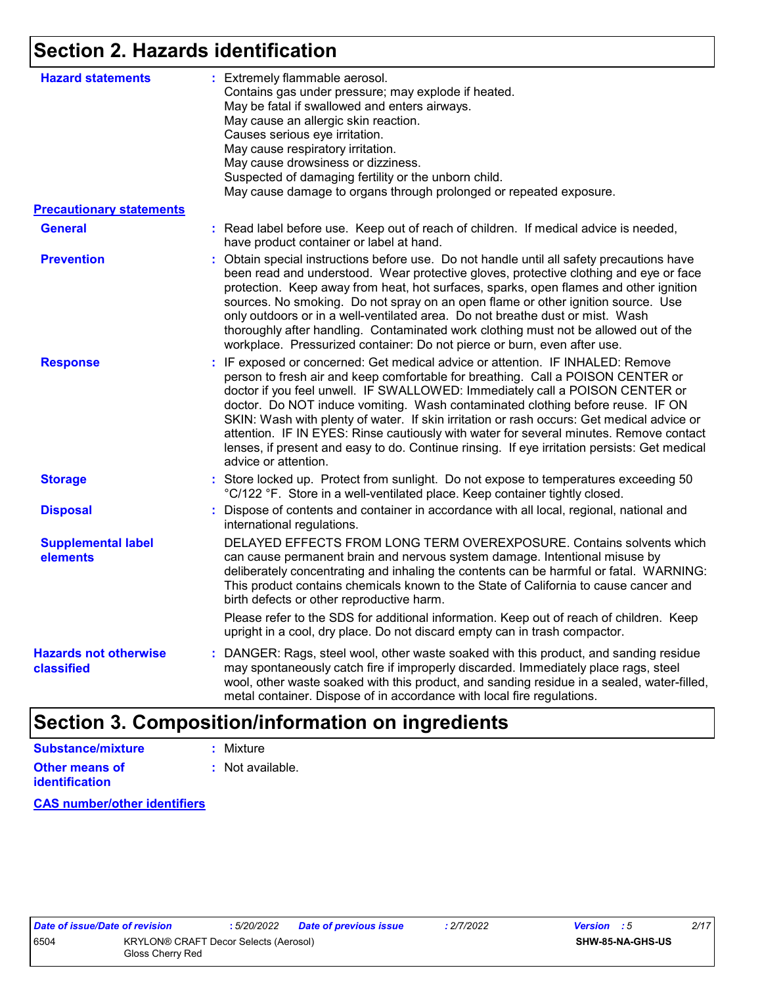## **Section 2. Hazards identification**

| <b>Hazard statements</b>                   | : Extremely flammable aerosol.<br>Contains gas under pressure; may explode if heated.<br>May be fatal if swallowed and enters airways.<br>May cause an allergic skin reaction.<br>Causes serious eye irritation.<br>May cause respiratory irritation.<br>May cause drowsiness or dizziness.<br>Suspected of damaging fertility or the unborn child.<br>May cause damage to organs through prolonged or repeated exposure.                                                                                                                                                                                                                          |
|--------------------------------------------|----------------------------------------------------------------------------------------------------------------------------------------------------------------------------------------------------------------------------------------------------------------------------------------------------------------------------------------------------------------------------------------------------------------------------------------------------------------------------------------------------------------------------------------------------------------------------------------------------------------------------------------------------|
| <b>Precautionary statements</b>            |                                                                                                                                                                                                                                                                                                                                                                                                                                                                                                                                                                                                                                                    |
| <b>General</b>                             | : Read label before use. Keep out of reach of children. If medical advice is needed,<br>have product container or label at hand.                                                                                                                                                                                                                                                                                                                                                                                                                                                                                                                   |
| <b>Prevention</b>                          | : Obtain special instructions before use. Do not handle until all safety precautions have<br>been read and understood. Wear protective gloves, protective clothing and eye or face<br>protection. Keep away from heat, hot surfaces, sparks, open flames and other ignition<br>sources. No smoking. Do not spray on an open flame or other ignition source. Use<br>only outdoors or in a well-ventilated area. Do not breathe dust or mist. Wash<br>thoroughly after handling. Contaminated work clothing must not be allowed out of the<br>workplace. Pressurized container: Do not pierce or burn, even after use.                               |
| <b>Response</b>                            | : IF exposed or concerned: Get medical advice or attention. IF INHALED: Remove<br>person to fresh air and keep comfortable for breathing. Call a POISON CENTER or<br>doctor if you feel unwell. IF SWALLOWED: Immediately call a POISON CENTER or<br>doctor. Do NOT induce vomiting. Wash contaminated clothing before reuse. IF ON<br>SKIN: Wash with plenty of water. If skin irritation or rash occurs: Get medical advice or<br>attention. IF IN EYES: Rinse cautiously with water for several minutes. Remove contact<br>lenses, if present and easy to do. Continue rinsing. If eye irritation persists: Get medical<br>advice or attention. |
| <b>Storage</b>                             | : Store locked up. Protect from sunlight. Do not expose to temperatures exceeding 50<br>°C/122 °F. Store in a well-ventilated place. Keep container tightly closed.                                                                                                                                                                                                                                                                                                                                                                                                                                                                                |
| <b>Disposal</b>                            | : Dispose of contents and container in accordance with all local, regional, national and<br>international regulations.                                                                                                                                                                                                                                                                                                                                                                                                                                                                                                                             |
| <b>Supplemental label</b><br>elements      | DELAYED EFFECTS FROM LONG TERM OVEREXPOSURE. Contains solvents which<br>can cause permanent brain and nervous system damage. Intentional misuse by<br>deliberately concentrating and inhaling the contents can be harmful or fatal. WARNING:<br>This product contains chemicals known to the State of California to cause cancer and<br>birth defects or other reproductive harm.                                                                                                                                                                                                                                                                  |
|                                            | Please refer to the SDS for additional information. Keep out of reach of children. Keep<br>upright in a cool, dry place. Do not discard empty can in trash compactor.                                                                                                                                                                                                                                                                                                                                                                                                                                                                              |
| <b>Hazards not otherwise</b><br>classified | : DANGER: Rags, steel wool, other waste soaked with this product, and sanding residue<br>may spontaneously catch fire if improperly discarded. Immediately place rags, steel<br>wool, other waste soaked with this product, and sanding residue in a sealed, water-filled,<br>metal container. Dispose of in accordance with local fire regulations.                                                                                                                                                                                                                                                                                               |

## **Section 3. Composition/information on ingredients**

| Substance/mixture     | : Mixture        |
|-----------------------|------------------|
| <b>Other means of</b> | : Not available. |
| identification        |                  |

**CAS number/other identifiers**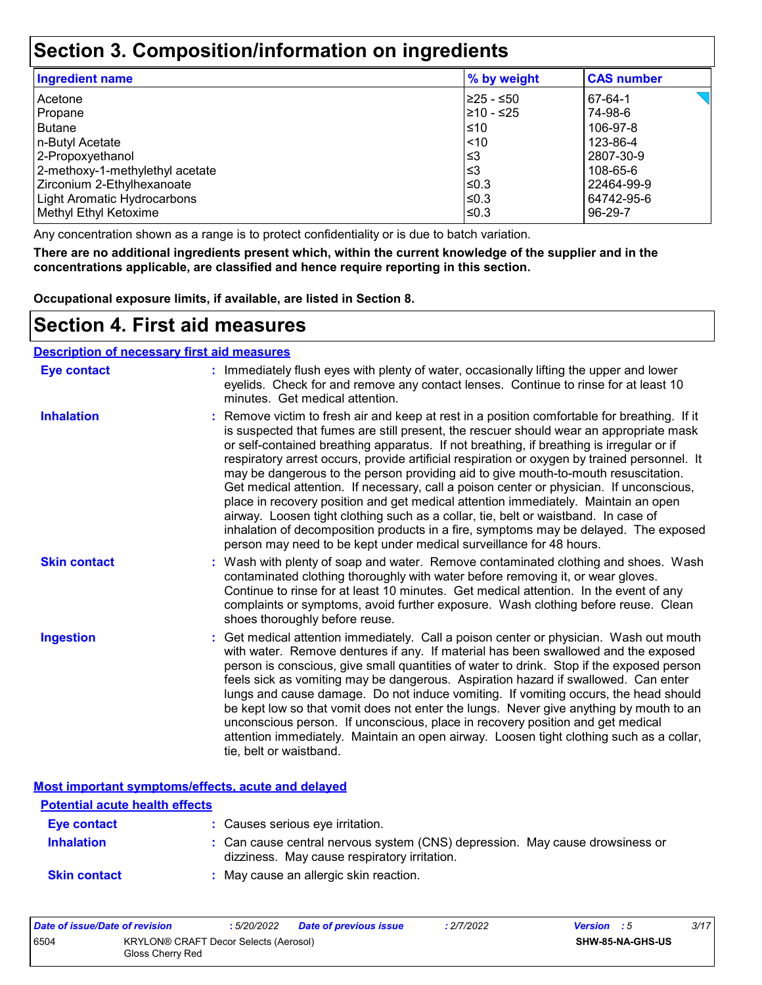## **Section 3. Composition/information on ingredients**

| <b>Ingredient name</b>             | % by weight | <b>CAS number</b> |
|------------------------------------|-------------|-------------------|
| Acetone                            | 225 - ≤50   | 67-64-1           |
| Propane                            | 210 - ≤25   | 74-98-6           |
| <b>Butane</b>                      | ≤10         | 106-97-8          |
| n-Butyl Acetate                    | < 10        | 123-86-4          |
| 2-Propoxyethanol                   | ≤3          | 2807-30-9         |
| 2-methoxy-1-methylethyl acetate    | ≤3          | 108-65-6          |
| Zirconium 2-Ethylhexanoate         | ≤0.3        | 22464-99-9        |
| <b>Light Aromatic Hydrocarbons</b> | ≤0.3        | 64742-95-6        |
| Methyl Ethyl Ketoxime              | ≤0.3        | 96-29-7           |

Any concentration shown as a range is to protect confidentiality or is due to batch variation.

**There are no additional ingredients present which, within the current knowledge of the supplier and in the concentrations applicable, are classified and hence require reporting in this section.**

**Occupational exposure limits, if available, are listed in Section 8.**

### **Section 4. First aid measures**

#### **Description of necessary first aid measures**

| <b>Eye contact</b>  | : Immediately flush eyes with plenty of water, occasionally lifting the upper and lower<br>eyelids. Check for and remove any contact lenses. Continue to rinse for at least 10<br>minutes. Get medical attention.                                                                                                                                                                                                                                                                                                                                                                                                                                                                                                                                                                                                                                                                                              |
|---------------------|----------------------------------------------------------------------------------------------------------------------------------------------------------------------------------------------------------------------------------------------------------------------------------------------------------------------------------------------------------------------------------------------------------------------------------------------------------------------------------------------------------------------------------------------------------------------------------------------------------------------------------------------------------------------------------------------------------------------------------------------------------------------------------------------------------------------------------------------------------------------------------------------------------------|
| <b>Inhalation</b>   | : Remove victim to fresh air and keep at rest in a position comfortable for breathing. If it<br>is suspected that fumes are still present, the rescuer should wear an appropriate mask<br>or self-contained breathing apparatus. If not breathing, if breathing is irregular or if<br>respiratory arrest occurs, provide artificial respiration or oxygen by trained personnel. It<br>may be dangerous to the person providing aid to give mouth-to-mouth resuscitation.<br>Get medical attention. If necessary, call a poison center or physician. If unconscious,<br>place in recovery position and get medical attention immediately. Maintain an open<br>airway. Loosen tight clothing such as a collar, tie, belt or waistband. In case of<br>inhalation of decomposition products in a fire, symptoms may be delayed. The exposed<br>person may need to be kept under medical surveillance for 48 hours. |
| <b>Skin contact</b> | : Wash with plenty of soap and water. Remove contaminated clothing and shoes. Wash<br>contaminated clothing thoroughly with water before removing it, or wear gloves.<br>Continue to rinse for at least 10 minutes. Get medical attention. In the event of any<br>complaints or symptoms, avoid further exposure. Wash clothing before reuse. Clean<br>shoes thoroughly before reuse.                                                                                                                                                                                                                                                                                                                                                                                                                                                                                                                          |
| <b>Ingestion</b>    | : Get medical attention immediately. Call a poison center or physician. Wash out mouth<br>with water. Remove dentures if any. If material has been swallowed and the exposed<br>person is conscious, give small quantities of water to drink. Stop if the exposed person<br>feels sick as vomiting may be dangerous. Aspiration hazard if swallowed. Can enter<br>lungs and cause damage. Do not induce vomiting. If vomiting occurs, the head should<br>be kept low so that vomit does not enter the lungs. Never give anything by mouth to an<br>unconscious person. If unconscious, place in recovery position and get medical<br>attention immediately. Maintain an open airway. Loosen tight clothing such as a collar,<br>tie, belt or waistband.                                                                                                                                                        |

**Most important symptoms/effects, acute and delayed**

| <b>Potential acute health effects</b> |                                                                                                                              |
|---------------------------------------|------------------------------------------------------------------------------------------------------------------------------|
| Eye contact                           | : Causes serious eye irritation.                                                                                             |
| <b>Inhalation</b>                     | : Can cause central nervous system (CNS) depression. May cause drowsiness or<br>dizziness. May cause respiratory irritation. |
| <b>Skin contact</b>                   | : May cause an allergic skin reaction.                                                                                       |

| Date of issue/Date of revision |                                                           | . 5/20/2022 | <b>Date of previous issue</b> | : 2/7/2022 | <b>Version</b> : 5 |                         | 3/17 |
|--------------------------------|-----------------------------------------------------------|-------------|-------------------------------|------------|--------------------|-------------------------|------|
| 6504                           | KRYLON® CRAFT Decor Selects (Aerosol)<br>Gloss Cherry Red |             |                               |            |                    | <b>SHW-85-NA-GHS-US</b> |      |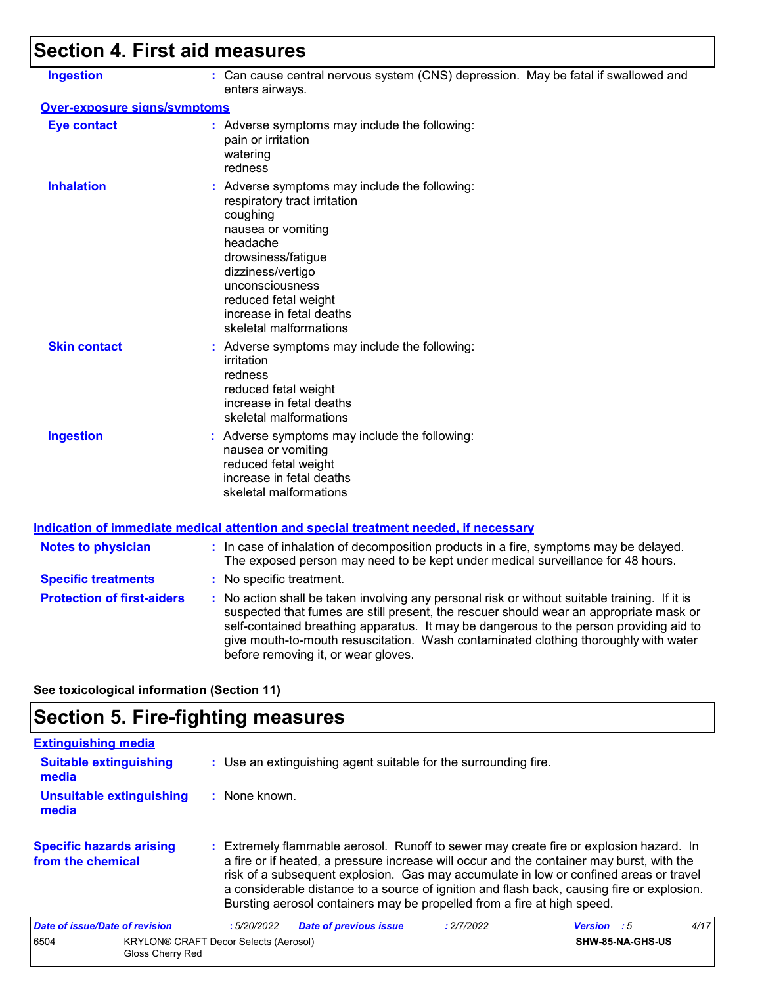# **Section 4. First aid measures**

| <b>Ingestion</b>                    | : Can cause central nervous system (CNS) depression. May be fatal if swallowed and<br>enters airways.                                                                                                                                                                                                                                                                                                           |
|-------------------------------------|-----------------------------------------------------------------------------------------------------------------------------------------------------------------------------------------------------------------------------------------------------------------------------------------------------------------------------------------------------------------------------------------------------------------|
| <b>Over-exposure signs/symptoms</b> |                                                                                                                                                                                                                                                                                                                                                                                                                 |
| <b>Eye contact</b>                  | : Adverse symptoms may include the following:<br>pain or irritation<br>watering<br>redness                                                                                                                                                                                                                                                                                                                      |
| <b>Inhalation</b>                   | : Adverse symptoms may include the following:<br>respiratory tract irritation<br>coughing<br>nausea or vomiting<br>headache<br>drowsiness/fatigue<br>dizziness/vertigo<br>unconsciousness<br>reduced fetal weight<br>increase in fetal deaths<br>skeletal malformations                                                                                                                                         |
| <b>Skin contact</b>                 | : Adverse symptoms may include the following:<br>irritation<br>redness<br>reduced fetal weight<br>increase in fetal deaths<br>skeletal malformations                                                                                                                                                                                                                                                            |
| <b>Ingestion</b>                    | : Adverse symptoms may include the following:<br>nausea or vomiting<br>reduced fetal weight<br>increase in fetal deaths<br>skeletal malformations                                                                                                                                                                                                                                                               |
|                                     | <u>Indication of immediate medical attention and special treatment needed, if necessary</u>                                                                                                                                                                                                                                                                                                                     |
| <b>Notes to physician</b>           | : In case of inhalation of decomposition products in a fire, symptoms may be delayed.<br>The exposed person may need to be kept under medical surveillance for 48 hours.                                                                                                                                                                                                                                        |
| <b>Specific treatments</b>          | : No specific treatment.                                                                                                                                                                                                                                                                                                                                                                                        |
| <b>Protection of first-aiders</b>   | : No action shall be taken involving any personal risk or without suitable training. If it is<br>suspected that fumes are still present, the rescuer should wear an appropriate mask or<br>self-contained breathing apparatus. It may be dangerous to the person providing aid to<br>give mouth-to-mouth resuscitation. Wash contaminated clothing thoroughly with water<br>before removing it, or wear gloves. |

#### **See toxicological information (Section 11)**

## **Section 5. Fire-fighting measures**

| <b>Extinguishing media</b>                           |                                                                                                                                                                                                                                                                                                                                                                                                                                                       |                    |      |
|------------------------------------------------------|-------------------------------------------------------------------------------------------------------------------------------------------------------------------------------------------------------------------------------------------------------------------------------------------------------------------------------------------------------------------------------------------------------------------------------------------------------|--------------------|------|
| <b>Suitable extinguishing</b><br>media               | : Use an extinguishing agent suitable for the surrounding fire.                                                                                                                                                                                                                                                                                                                                                                                       |                    |      |
| <b>Unsuitable extinguishing</b><br>media             | : None known.                                                                                                                                                                                                                                                                                                                                                                                                                                         |                    |      |
| <b>Specific hazards arising</b><br>from the chemical | : Extremely flammable aerosol. Runoff to sewer may create fire or explosion hazard. In<br>a fire or if heated, a pressure increase will occur and the container may burst, with the<br>risk of a subsequent explosion. Gas may accumulate in low or confined areas or travel<br>a considerable distance to a source of ignition and flash back, causing fire or explosion.<br>Bursting aerosol containers may be propelled from a fire at high speed. |                    |      |
| Date of issue/Date of revision                       | <b>Date of previous issue</b><br>: 2/7/2022<br>:5/20/2022                                                                                                                                                                                                                                                                                                                                                                                             | <b>Version</b> : 5 | 4/17 |
| 6504<br>Gloss Cherry Red                             | <b>KRYLON® CRAFT Decor Selects (Aerosol)</b>                                                                                                                                                                                                                                                                                                                                                                                                          | SHW-85-NA-GHS-US   |      |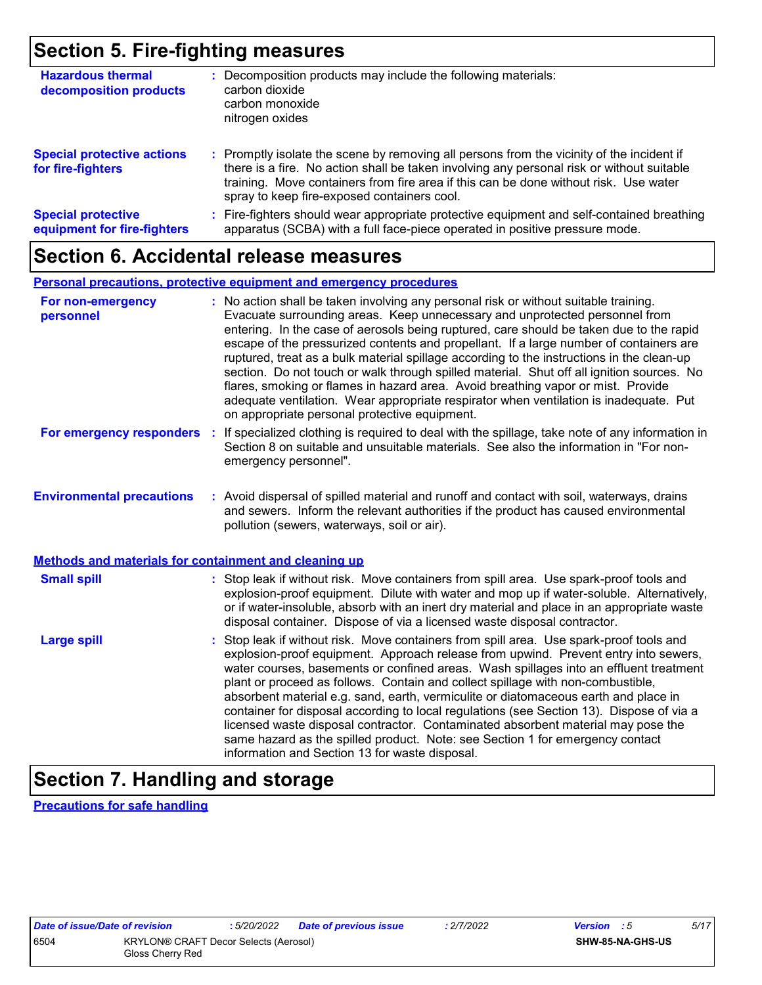## **Section 5. Fire-fighting measures**

| <b>Hazardous thermal</b><br>decomposition products       | : Decomposition products may include the following materials:<br>carbon dioxide<br>carbon monoxide<br>nitrogen oxides                                                                                                                                                                                                         |
|----------------------------------------------------------|-------------------------------------------------------------------------------------------------------------------------------------------------------------------------------------------------------------------------------------------------------------------------------------------------------------------------------|
| <b>Special protective actions</b><br>for fire-fighters   | : Promptly isolate the scene by removing all persons from the vicinity of the incident if<br>there is a fire. No action shall be taken involving any personal risk or without suitable<br>training. Move containers from fire area if this can be done without risk. Use water<br>spray to keep fire-exposed containers cool. |
| <b>Special protective</b><br>equipment for fire-fighters | Fire-fighters should wear appropriate protective equipment and self-contained breathing<br>apparatus (SCBA) with a full face-piece operated in positive pressure mode.                                                                                                                                                        |

### **Section 6. Accidental release measures**

#### **Personal precautions, protective equipment and emergency procedures**

| For non-emergency<br>personnel                               | : No action shall be taken involving any personal risk or without suitable training.<br>Evacuate surrounding areas. Keep unnecessary and unprotected personnel from<br>entering. In the case of aerosols being ruptured, care should be taken due to the rapid<br>escape of the pressurized contents and propellant. If a large number of containers are<br>ruptured, treat as a bulk material spillage according to the instructions in the clean-up<br>section. Do not touch or walk through spilled material. Shut off all ignition sources. No<br>flares, smoking or flames in hazard area. Avoid breathing vapor or mist. Provide<br>adequate ventilation. Wear appropriate respirator when ventilation is inadequate. Put<br>on appropriate personal protective equipment. |
|--------------------------------------------------------------|----------------------------------------------------------------------------------------------------------------------------------------------------------------------------------------------------------------------------------------------------------------------------------------------------------------------------------------------------------------------------------------------------------------------------------------------------------------------------------------------------------------------------------------------------------------------------------------------------------------------------------------------------------------------------------------------------------------------------------------------------------------------------------|
| For emergency responders                                     | : If specialized clothing is required to deal with the spillage, take note of any information in<br>Section 8 on suitable and unsuitable materials. See also the information in "For non-<br>emergency personnel".                                                                                                                                                                                                                                                                                                                                                                                                                                                                                                                                                               |
| <b>Environmental precautions</b>                             | : Avoid dispersal of spilled material and runoff and contact with soil, waterways, drains<br>and sewers. Inform the relevant authorities if the product has caused environmental<br>pollution (sewers, waterways, soil or air).                                                                                                                                                                                                                                                                                                                                                                                                                                                                                                                                                  |
| <b>Methods and materials for containment and cleaning up</b> |                                                                                                                                                                                                                                                                                                                                                                                                                                                                                                                                                                                                                                                                                                                                                                                  |
| <b>Small spill</b>                                           | : Stop leak if without risk. Move containers from spill area. Use spark-proof tools and<br>explosion-proof equipment. Dilute with water and mop up if water-soluble. Alternatively,<br>or if water-insoluble, absorb with an inert dry material and place in an appropriate waste<br>disposal container. Dispose of via a licensed waste disposal contractor.                                                                                                                                                                                                                                                                                                                                                                                                                    |
| <b>Large spill</b>                                           | : Stop leak if without risk. Move containers from spill area. Use spark-proof tools and<br>explosion-proof equipment. Approach release from upwind. Prevent entry into sewers,<br>water courses, basements or confined areas. Wash spillages into an effluent treatment<br>plant or proceed as follows. Contain and collect spillage with non-combustible,<br>absorbent material e.g. sand, earth, vermiculite or diatomaceous earth and place in<br>container for disposal according to local regulations (see Section 13). Dispose of via a<br>licensed waste disposal contractor. Contaminated absorbent material may pose the<br>same hazard as the spilled product. Note: see Section 1 for emergency contact<br>information and Section 13 for waste disposal.             |

### **Section 7. Handling and storage**

**Precautions for safe handling**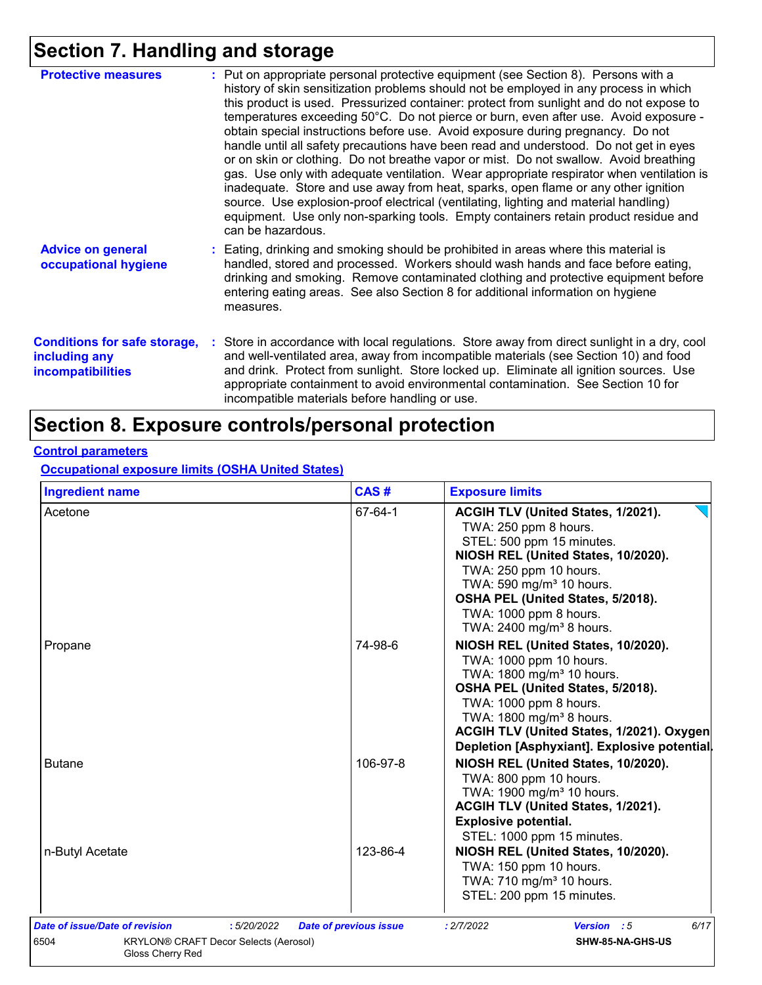## **Section 7. Handling and storage**

| <b>Protective measures</b>                                                       | : Put on appropriate personal protective equipment (see Section 8). Persons with a<br>history of skin sensitization problems should not be employed in any process in which<br>this product is used. Pressurized container: protect from sunlight and do not expose to<br>temperatures exceeding 50°C. Do not pierce or burn, even after use. Avoid exposure -<br>obtain special instructions before use. Avoid exposure during pregnancy. Do not<br>handle until all safety precautions have been read and understood. Do not get in eyes<br>or on skin or clothing. Do not breathe vapor or mist. Do not swallow. Avoid breathing<br>gas. Use only with adequate ventilation. Wear appropriate respirator when ventilation is<br>inadequate. Store and use away from heat, sparks, open flame or any other ignition<br>source. Use explosion-proof electrical (ventilating, lighting and material handling)<br>equipment. Use only non-sparking tools. Empty containers retain product residue and<br>can be hazardous. |
|----------------------------------------------------------------------------------|---------------------------------------------------------------------------------------------------------------------------------------------------------------------------------------------------------------------------------------------------------------------------------------------------------------------------------------------------------------------------------------------------------------------------------------------------------------------------------------------------------------------------------------------------------------------------------------------------------------------------------------------------------------------------------------------------------------------------------------------------------------------------------------------------------------------------------------------------------------------------------------------------------------------------------------------------------------------------------------------------------------------------|
| <b>Advice on general</b><br>occupational hygiene                                 | : Eating, drinking and smoking should be prohibited in areas where this material is<br>handled, stored and processed. Workers should wash hands and face before eating,<br>drinking and smoking. Remove contaminated clothing and protective equipment before<br>entering eating areas. See also Section 8 for additional information on hygiene<br>measures.                                                                                                                                                                                                                                                                                                                                                                                                                                                                                                                                                                                                                                                             |
| <b>Conditions for safe storage,</b><br>including any<br><b>incompatibilities</b> | : Store in accordance with local regulations. Store away from direct sunlight in a dry, cool<br>and well-ventilated area, away from incompatible materials (see Section 10) and food<br>and drink. Protect from sunlight. Store locked up. Eliminate all ignition sources. Use<br>appropriate containment to avoid environmental contamination. See Section 10 for<br>incompatible materials before handling or use.                                                                                                                                                                                                                                                                                                                                                                                                                                                                                                                                                                                                      |

## **Section 8. Exposure controls/personal protection**

#### **Control parameters**

**Occupational exposure limits (OSHA United States)**

| <b>Ingredient name</b> | CAS#     | <b>Exposure limits</b>                                                                                                                                                                                                                                                                                      |
|------------------------|----------|-------------------------------------------------------------------------------------------------------------------------------------------------------------------------------------------------------------------------------------------------------------------------------------------------------------|
| Acetone                | 67-64-1  | ACGIH TLV (United States, 1/2021).<br>TWA: 250 ppm 8 hours.<br>STEL: 500 ppm 15 minutes.<br>NIOSH REL (United States, 10/2020).<br>TWA: 250 ppm 10 hours.<br>TWA: 590 mg/m <sup>3</sup> 10 hours.<br>OSHA PEL (United States, 5/2018).<br>TWA: 1000 ppm 8 hours.<br>TWA: 2400 mg/m <sup>3</sup> 8 hours.    |
| Propane                | 74-98-6  | NIOSH REL (United States, 10/2020).<br>TWA: 1000 ppm 10 hours.<br>TWA: 1800 mg/m <sup>3</sup> 10 hours.<br>OSHA PEL (United States, 5/2018).<br>TWA: 1000 ppm 8 hours.<br>TWA: 1800 mg/m <sup>3</sup> 8 hours.<br>ACGIH TLV (United States, 1/2021). Oxygen<br>Depletion [Asphyxiant]. Explosive potential. |
| <b>Butane</b>          | 106-97-8 | NIOSH REL (United States, 10/2020).<br>TWA: 800 ppm 10 hours.<br>TWA: 1900 mg/m <sup>3</sup> 10 hours.<br>ACGIH TLV (United States, 1/2021).<br><b>Explosive potential.</b><br>STEL: 1000 ppm 15 minutes.                                                                                                   |
| n-Butyl Acetate        | 123-86-4 | NIOSH REL (United States, 10/2020).<br>TWA: 150 ppm 10 hours.<br>TWA: 710 mg/m <sup>3</sup> 10 hours.<br>STEL: 200 ppm 15 minutes.                                                                                                                                                                          |
|                        |          | : 2/7/2022                                                                                                                                                                                                                                                                                                  |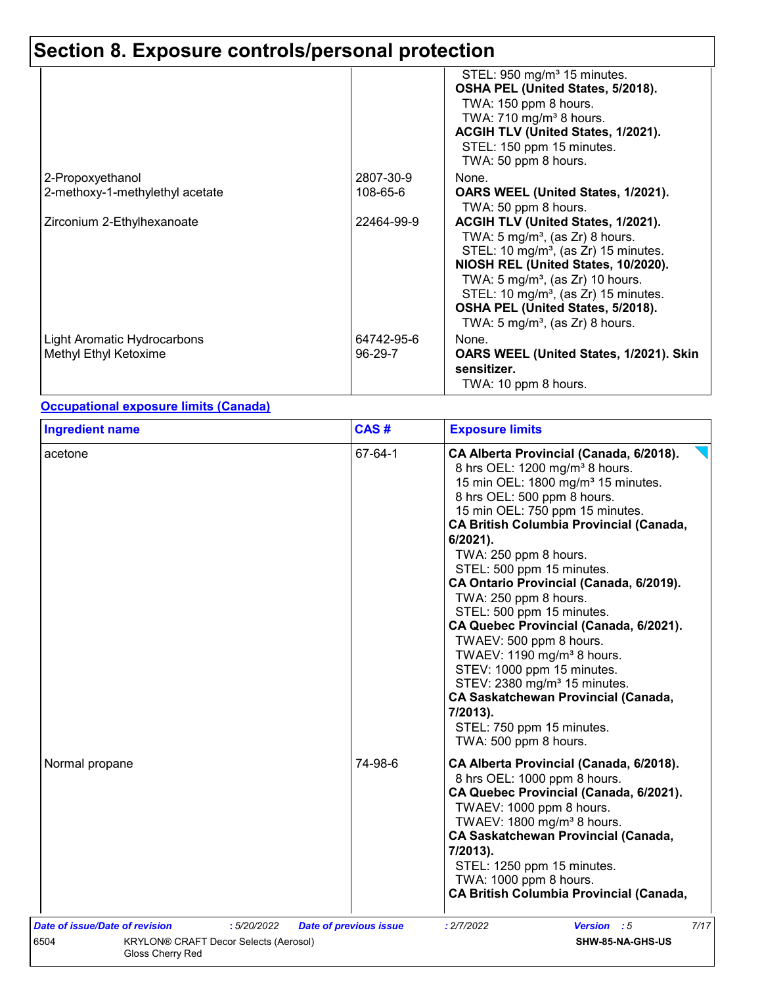|                                                      |                       | STEL: 950 mg/m <sup>3</sup> 15 minutes.<br>OSHA PEL (United States, 5/2018).<br>TWA: 150 ppm 8 hours.<br>TWA: 710 mg/m <sup>3</sup> 8 hours.<br>ACGIH TLV (United States, 1/2021).                                                                                                                                                                                  |
|------------------------------------------------------|-----------------------|---------------------------------------------------------------------------------------------------------------------------------------------------------------------------------------------------------------------------------------------------------------------------------------------------------------------------------------------------------------------|
|                                                      |                       | STEL: 150 ppm 15 minutes.<br>TWA: 50 ppm 8 hours.                                                                                                                                                                                                                                                                                                                   |
| 2-Propoxyethanol                                     | 2807-30-9             | None.                                                                                                                                                                                                                                                                                                                                                               |
| 2-methoxy-1-methylethyl acetate                      | 108-65-6              | OARS WEEL (United States, 1/2021).<br>TWA: 50 ppm 8 hours.                                                                                                                                                                                                                                                                                                          |
| Zirconium 2-Ethylhexanoate                           | 22464-99-9            | ACGIH TLV (United States, 1/2021).<br>TWA: 5 mg/m <sup>3</sup> , (as Zr) 8 hours.<br>STEL: 10 mg/m <sup>3</sup> , (as Zr) 15 minutes.<br>NIOSH REL (United States, 10/2020).<br>TWA: $5 \text{ mg/m}^3$ , (as Zr) 10 hours.<br>STEL: 10 mg/m <sup>3</sup> , (as Zr) 15 minutes.<br>OSHA PEL (United States, 5/2018).<br>TWA: 5 mg/m <sup>3</sup> , (as Zr) 8 hours. |
| Light Aromatic Hydrocarbons<br>Methyl Ethyl Ketoxime | 64742-95-6<br>96-29-7 | None.<br>OARS WEEL (United States, 1/2021). Skin<br>sensitizer.<br>TWA: 10 ppm 8 hours.                                                                                                                                                                                                                                                                             |

#### **Occupational exposure limits (Canada)**

| 67-64-1<br>CA Alberta Provincial (Canada, 6/2018).<br>acetone<br>8 hrs OEL: 1200 mg/m <sup>3</sup> 8 hours.<br>15 min OEL: 1800 mg/m <sup>3</sup> 15 minutes.<br>8 hrs OEL: 500 ppm 8 hours.<br>15 min OEL: 750 ppm 15 minutes.<br><b>CA British Columbia Provincial (Canada,</b><br>6/2021).<br>TWA: 250 ppm 8 hours.<br>STEL: 500 ppm 15 minutes.<br>CA Ontario Provincial (Canada, 6/2019).<br>TWA: 250 ppm 8 hours.<br>STEL: 500 ppm 15 minutes.<br>CA Quebec Provincial (Canada, 6/2021).<br>TWAEV: 500 ppm 8 hours.<br>TWAEV: 1190 mg/m <sup>3</sup> 8 hours.<br>STEV: 1000 ppm 15 minutes.<br>STEV: 2380 mg/m <sup>3</sup> 15 minutes.<br><b>CA Saskatchewan Provincial (Canada,</b><br>7/2013).<br>STEL: 750 ppm 15 minutes.<br>TWA: 500 ppm 8 hours.<br>74-98-6<br>CA Alberta Provincial (Canada, 6/2018).<br>8 hrs OEL: 1000 ppm 8 hours.<br>CA Quebec Provincial (Canada, 6/2021).<br>TWAEV: 1000 ppm 8 hours.<br>TWAEV: 1800 mg/m <sup>3</sup> 8 hours.<br><b>CA Saskatchewan Provincial (Canada,</b><br>7/2013).<br>STEL: 1250 ppm 15 minutes.<br>TWA: 1000 ppm 8 hours. | <b>Ingredient name</b> | CAS# | <b>Exposure limits</b>                         |
|---------------------------------------------------------------------------------------------------------------------------------------------------------------------------------------------------------------------------------------------------------------------------------------------------------------------------------------------------------------------------------------------------------------------------------------------------------------------------------------------------------------------------------------------------------------------------------------------------------------------------------------------------------------------------------------------------------------------------------------------------------------------------------------------------------------------------------------------------------------------------------------------------------------------------------------------------------------------------------------------------------------------------------------------------------------------------------------|------------------------|------|------------------------------------------------|
|                                                                                                                                                                                                                                                                                                                                                                                                                                                                                                                                                                                                                                                                                                                                                                                                                                                                                                                                                                                                                                                                                       |                        |      |                                                |
|                                                                                                                                                                                                                                                                                                                                                                                                                                                                                                                                                                                                                                                                                                                                                                                                                                                                                                                                                                                                                                                                                       | Normal propane         |      | <b>CA British Columbia Provincial (Canada,</b> |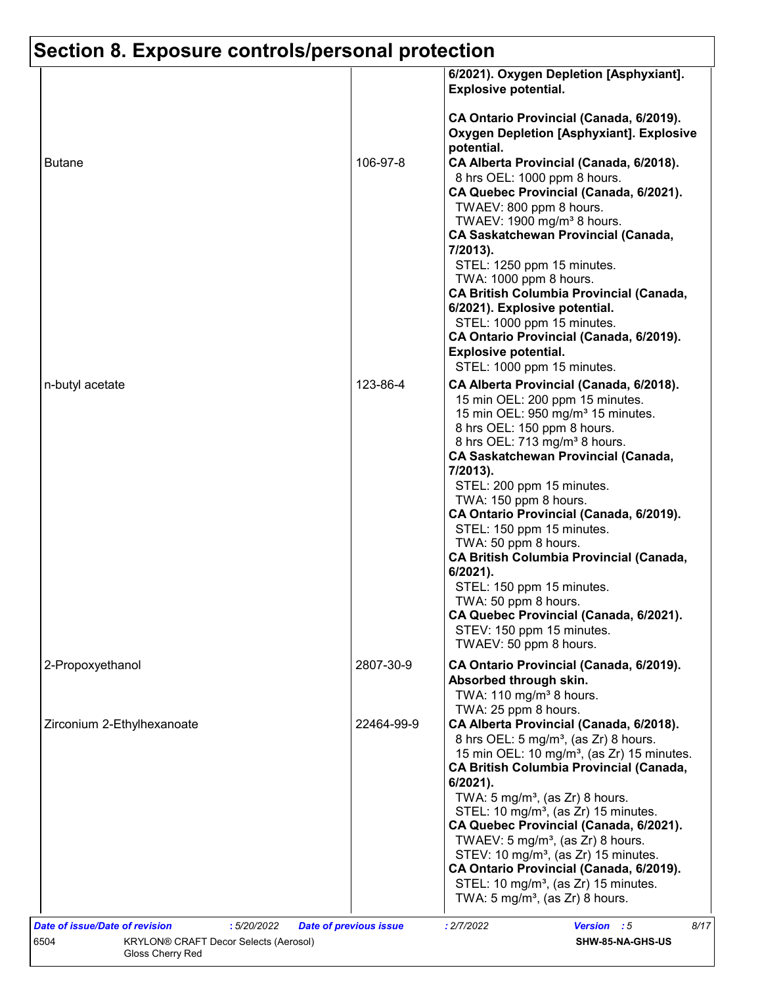|                            |            | 6/2021). Oxygen Depletion [Asphyxiant].<br><b>Explosive potential.</b>                                                                                                                                                                                                                                                                                                                                                                                                                                                                                                                                                                         |
|----------------------------|------------|------------------------------------------------------------------------------------------------------------------------------------------------------------------------------------------------------------------------------------------------------------------------------------------------------------------------------------------------------------------------------------------------------------------------------------------------------------------------------------------------------------------------------------------------------------------------------------------------------------------------------------------------|
| <b>Butane</b>              | 106-97-8   | CA Ontario Provincial (Canada, 6/2019).<br><b>Oxygen Depletion [Asphyxiant]. Explosive</b><br>potential.<br>CA Alberta Provincial (Canada, 6/2018).<br>8 hrs OEL: 1000 ppm 8 hours.<br>CA Quebec Provincial (Canada, 6/2021).<br>TWAEV: 800 ppm 8 hours.<br>TWAEV: 1900 mg/m <sup>3</sup> 8 hours.<br><b>CA Saskatchewan Provincial (Canada,</b>                                                                                                                                                                                                                                                                                               |
|                            |            | 7/2013).<br>STEL: 1250 ppm 15 minutes.<br>TWA: 1000 ppm 8 hours.<br><b>CA British Columbia Provincial (Canada,</b><br>6/2021). Explosive potential.<br>STEL: 1000 ppm 15 minutes.<br>CA Ontario Provincial (Canada, 6/2019).<br><b>Explosive potential.</b><br>STEL: 1000 ppm 15 minutes.                                                                                                                                                                                                                                                                                                                                                      |
| n-butyl acetate            | 123-86-4   | CA Alberta Provincial (Canada, 6/2018).<br>15 min OEL: 200 ppm 15 minutes.<br>15 min OEL: 950 mg/m <sup>3</sup> 15 minutes.<br>8 hrs OEL: 150 ppm 8 hours.<br>8 hrs OEL: 713 mg/m <sup>3</sup> 8 hours.<br><b>CA Saskatchewan Provincial (Canada,</b><br>7/2013).<br>STEL: 200 ppm 15 minutes.<br>TWA: 150 ppm 8 hours.<br>CA Ontario Provincial (Canada, 6/2019).<br>STEL: 150 ppm 15 minutes.<br>TWA: 50 ppm 8 hours.<br><b>CA British Columbia Provincial (Canada,</b><br>$6/2021$ ).<br>STEL: 150 ppm 15 minutes.<br>TWA: 50 ppm 8 hours.<br>CA Quebec Provincial (Canada, 6/2021).<br>STEV: 150 ppm 15 minutes.<br>TWAEV: 50 ppm 8 hours. |
| 2-Propoxyethanol           | 2807-30-9  | CA Ontario Provincial (Canada, 6/2019).<br>Absorbed through skin.<br>TWA: 110 mg/m <sup>3</sup> 8 hours.<br>TWA: 25 ppm 8 hours.                                                                                                                                                                                                                                                                                                                                                                                                                                                                                                               |
| Zirconium 2-Ethylhexanoate | 22464-99-9 | CA Alberta Provincial (Canada, 6/2018).<br>8 hrs OEL: 5 mg/m <sup>3</sup> , (as Zr) 8 hours.<br>15 min OEL: 10 mg/m <sup>3</sup> , (as Zr) 15 minutes.<br><b>CA British Columbia Provincial (Canada,</b><br>6/2021).<br>TWA: $5 \text{ mg/m}^3$ , (as Zr) 8 hours.<br>STEL: 10 mg/m <sup>3</sup> , (as Zr) 15 minutes.<br>CA Quebec Provincial (Canada, 6/2021).<br>TWAEV: 5 mg/m <sup>3</sup> , (as $Zr$ ) 8 hours.<br>STEV: 10 mg/m <sup>3</sup> , (as Zr) 15 minutes.<br>CA Ontario Provincial (Canada, 6/2019).<br>STEL: 10 mg/m <sup>3</sup> , (as Zr) 15 minutes.<br>TWA: 5 mg/m <sup>3</sup> , (as Zr) 8 hours.                         |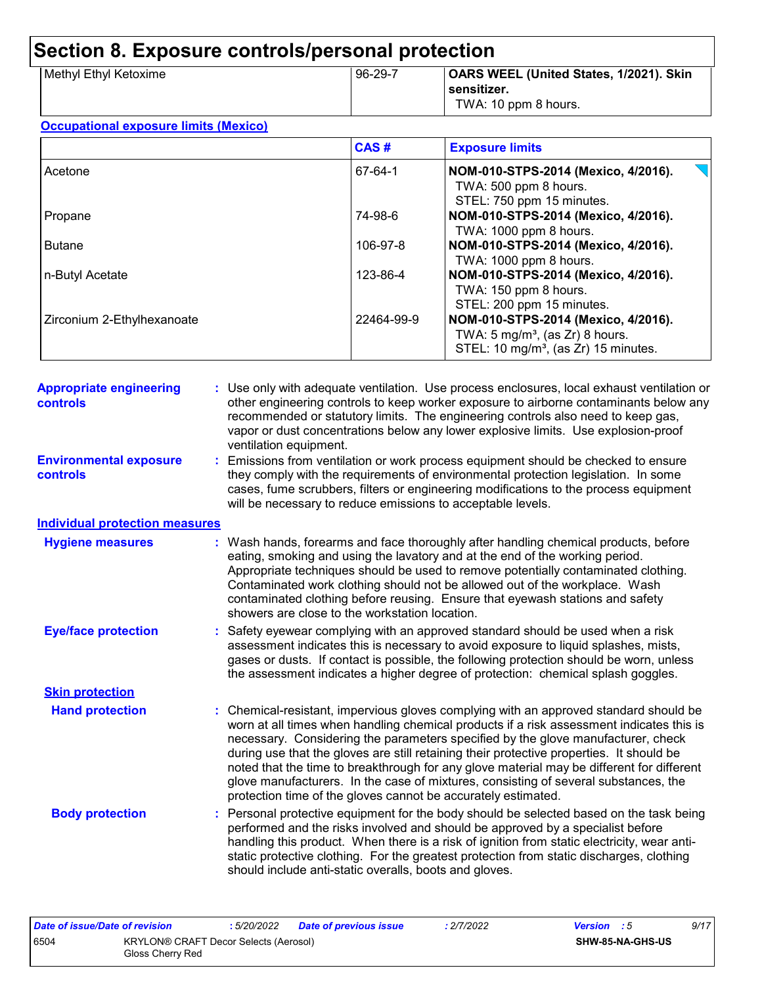| 96-29-7 | OARS WEEL (United States, 1/2021). Skin |
|---------|-----------------------------------------|
|         | sensitizer.                             |
|         | TWA: 10 ppm 8 hours.                    |
|         |                                         |

#### **Occupational exposure limits (Mexico)**

|                            | CAS#       | <b>Exposure limits</b>                                                                         |
|----------------------------|------------|------------------------------------------------------------------------------------------------|
| Acetone                    | 67-64-1    | NOM-010-STPS-2014 (Mexico, 4/2016).                                                            |
|                            |            | TWA: 500 ppm 8 hours.<br>STEL: 750 ppm 15 minutes.                                             |
| Propane                    | 74-98-6    | NOM-010-STPS-2014 (Mexico, 4/2016).<br>TWA: 1000 ppm 8 hours.                                  |
| <b>Butane</b>              | 106-97-8   | NOM-010-STPS-2014 (Mexico, 4/2016).<br>TWA: 1000 ppm 8 hours.                                  |
| n-Butyl Acetate            | 123-86-4   | NOM-010-STPS-2014 (Mexico, 4/2016).<br>TWA: 150 ppm 8 hours.                                   |
| Zirconium 2-Ethylhexanoate | 22464-99-9 | STEL: 200 ppm 15 minutes.<br>NOM-010-STPS-2014 (Mexico, 4/2016).                               |
|                            |            | TWA: $5 \text{ mg/m}^3$ , (as Zr) 8 hours.<br>STEL: 10 mg/m <sup>3</sup> , (as Zr) 15 minutes. |

| <b>Appropriate engineering</b><br>controls       | : Use only with adequate ventilation. Use process enclosures, local exhaust ventilation or<br>other engineering controls to keep worker exposure to airborne contaminants below any<br>recommended or statutory limits. The engineering controls also need to keep gas,<br>vapor or dust concentrations below any lower explosive limits. Use explosion-proof<br>ventilation equipment.                                                                                                                                                                                                                              |
|--------------------------------------------------|----------------------------------------------------------------------------------------------------------------------------------------------------------------------------------------------------------------------------------------------------------------------------------------------------------------------------------------------------------------------------------------------------------------------------------------------------------------------------------------------------------------------------------------------------------------------------------------------------------------------|
| <b>Environmental exposure</b><br><b>controls</b> | Emissions from ventilation or work process equipment should be checked to ensure<br>they comply with the requirements of environmental protection legislation. In some<br>cases, fume scrubbers, filters or engineering modifications to the process equipment<br>will be necessary to reduce emissions to acceptable levels.                                                                                                                                                                                                                                                                                        |
| <b>Individual protection measures</b>            |                                                                                                                                                                                                                                                                                                                                                                                                                                                                                                                                                                                                                      |
| <b>Hygiene measures</b>                          | : Wash hands, forearms and face thoroughly after handling chemical products, before<br>eating, smoking and using the lavatory and at the end of the working period.<br>Appropriate techniques should be used to remove potentially contaminated clothing.<br>Contaminated work clothing should not be allowed out of the workplace. Wash<br>contaminated clothing before reusing. Ensure that eyewash stations and safety<br>showers are close to the workstation location.                                                                                                                                          |
| <b>Eye/face protection</b>                       | Safety eyewear complying with an approved standard should be used when a risk<br>assessment indicates this is necessary to avoid exposure to liquid splashes, mists,<br>gases or dusts. If contact is possible, the following protection should be worn, unless<br>the assessment indicates a higher degree of protection: chemical splash goggles.                                                                                                                                                                                                                                                                  |
| <b>Skin protection</b>                           |                                                                                                                                                                                                                                                                                                                                                                                                                                                                                                                                                                                                                      |
| <b>Hand protection</b>                           | Chemical-resistant, impervious gloves complying with an approved standard should be<br>worn at all times when handling chemical products if a risk assessment indicates this is<br>necessary. Considering the parameters specified by the glove manufacturer, check<br>during use that the gloves are still retaining their protective properties. It should be<br>noted that the time to breakthrough for any glove material may be different for different<br>glove manufacturers. In the case of mixtures, consisting of several substances, the<br>protection time of the gloves cannot be accurately estimated. |
| <b>Body protection</b>                           | Personal protective equipment for the body should be selected based on the task being<br>performed and the risks involved and should be approved by a specialist before<br>handling this product. When there is a risk of ignition from static electricity, wear anti-<br>static protective clothing. For the greatest protection from static discharges, clothing<br>should include anti-static overalls, boots and gloves.                                                                                                                                                                                         |

| Date of issue/Date of revision |                                                                  | : 5/20/2022 | Date of previous issue | : 2/7/2022 | <b>Version</b> : 5 |                         | 9/17 |
|--------------------------------|------------------------------------------------------------------|-------------|------------------------|------------|--------------------|-------------------------|------|
| 6504                           | <b>KRYLON® CRAFT Decor Selects (Aerosol)</b><br>Gloss Cherry Red |             |                        |            |                    | <b>SHW-85-NA-GHS-US</b> |      |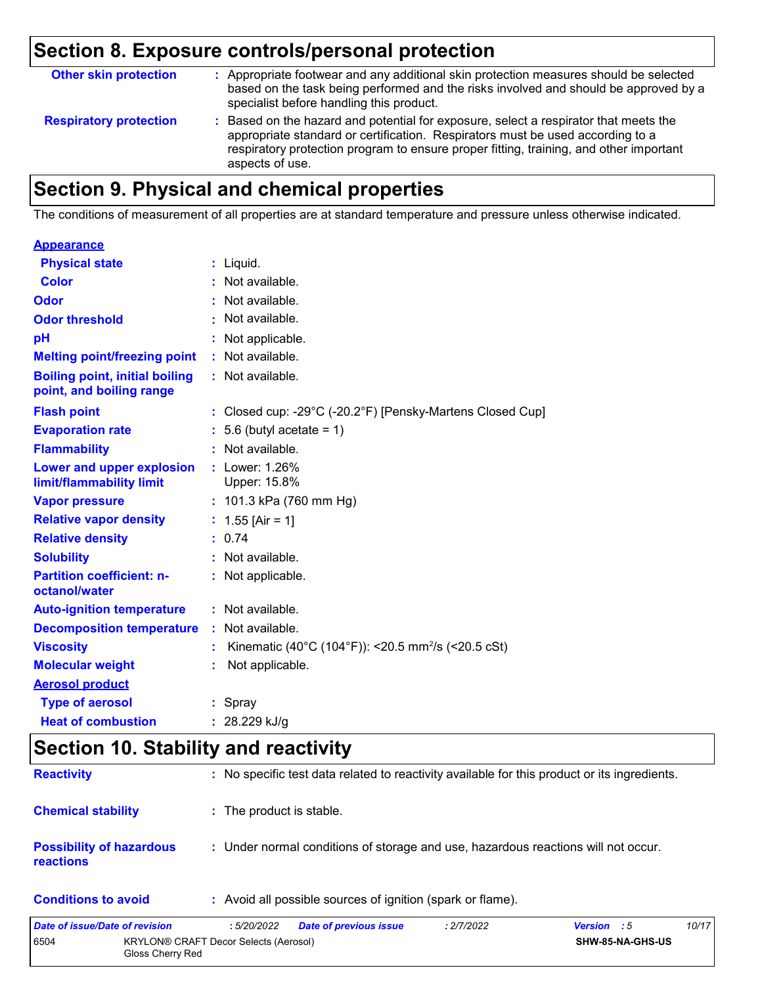| <b>Other skin protection</b>  | : Appropriate footwear and any additional skin protection measures should be selected<br>based on the task being performed and the risks involved and should be approved by a<br>specialist before handling this product.                                                           |
|-------------------------------|-------------------------------------------------------------------------------------------------------------------------------------------------------------------------------------------------------------------------------------------------------------------------------------|
| <b>Respiratory protection</b> | : Based on the hazard and potential for exposure, select a respirator that meets the<br>appropriate standard or certification. Respirators must be used according to a<br>respiratory protection program to ensure proper fitting, training, and other important<br>aspects of use. |

## **Section 9. Physical and chemical properties**

The conditions of measurement of all properties are at standard temperature and pressure unless otherwise indicated.

#### **Appearance**

| <b>Physical state</b>                                             | $:$ Liquid.                                                                     |
|-------------------------------------------------------------------|---------------------------------------------------------------------------------|
| Color                                                             | : Not available.                                                                |
| Odor                                                              | : Not available.                                                                |
| <b>Odor threshold</b>                                             | : Not available.                                                                |
| pH                                                                | : Not applicable.                                                               |
| <b>Melting point/freezing point</b>                               | : Not available.                                                                |
| <b>Boiling point, initial boiling</b><br>point, and boiling range | : Not available.                                                                |
| <b>Flash point</b>                                                | : Closed cup: -29 $^{\circ}$ C (-20.2 $^{\circ}$ F) [Pensky-Martens Closed Cup] |
| <b>Evaporation rate</b>                                           | $: 5.6$ (butyl acetate = 1)                                                     |
| <b>Flammability</b>                                               | : Not available.                                                                |
| Lower and upper explosion<br>limit/flammability limit             | : Lower: 1.26%<br>Upper: 15.8%                                                  |
| <b>Vapor pressure</b>                                             | : 101.3 kPa (760 mm Hg)                                                         |
| <b>Relative vapor density</b>                                     | : $1.55$ [Air = 1]                                                              |
| <b>Relative density</b>                                           | : 0.74                                                                          |
| <b>Solubility</b>                                                 | : Not available.                                                                |
| <b>Partition coefficient: n-</b><br>octanol/water                 | : Not applicable.                                                               |
| <b>Auto-ignition temperature</b>                                  | : Not available.                                                                |
| <b>Decomposition temperature</b>                                  | : Not available.                                                                |
| <b>Viscosity</b>                                                  | Kinematic (40°C (104°F)): <20.5 mm <sup>2</sup> /s (<20.5 cSt)                  |
| <b>Molecular weight</b>                                           | Not applicable.                                                                 |
| <b>Aerosol product</b>                                            |                                                                                 |
| <b>Type of aerosol</b>                                            | : Spray                                                                         |
| <b>Heat of combustion</b>                                         | : $28.229$ kJ/g                                                                 |

## **Section 10. Stability and reactivity**

| Data of issue/Data of revision                      | . 5/20/2022<br>Data of province issue<br>.2/7/2022                                           | V | 10/17 |
|-----------------------------------------------------|----------------------------------------------------------------------------------------------|---|-------|
| <b>Conditions to avoid</b>                          | : Avoid all possible sources of ignition (spark or flame).                                   |   |       |
| <b>Possibility of hazardous</b><br><b>reactions</b> | : Under normal conditions of storage and use, hazardous reactions will not occur.            |   |       |
| <b>Chemical stability</b>                           | : The product is stable.                                                                     |   |       |
| <b>Reactivity</b>                                   | : No specific test data related to reactivity available for this product or its ingredients. |   |       |

| Date of issue/Date of revision |                                                           | : 5/20/2022 | <b>Date of previous issue</b> | : 2/7/2022 | <b>Version</b> : 5 |                         | 10/17 |
|--------------------------------|-----------------------------------------------------------|-------------|-------------------------------|------------|--------------------|-------------------------|-------|
| 6504                           | KRYLON® CRAFT Decor Selects (Aerosol)<br>Gloss Cherry Red |             |                               |            |                    | <b>SHW-85-NA-GHS-US</b> |       |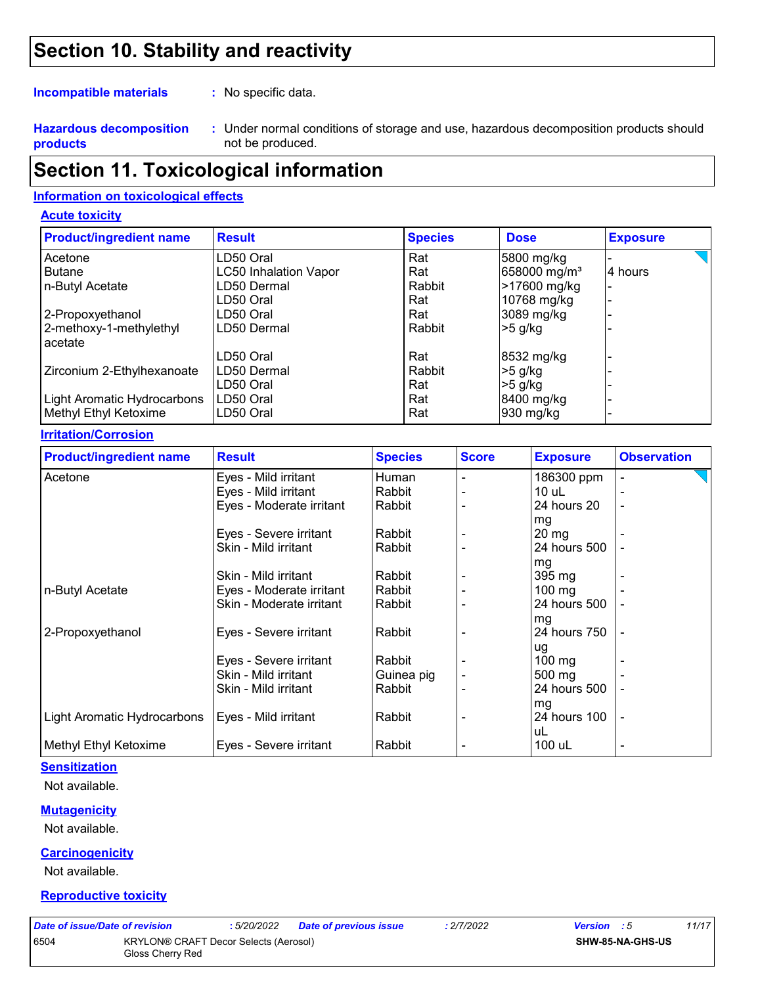## **Section 10. Stability and reactivity**

**Incompatible materials :**

: No specific data.

**Hazardous decomposition products**

Under normal conditions of storage and use, hazardous decomposition products should **:** not be produced.

### **Section 11. Toxicological information**

#### **Information on toxicological effects**

#### **Acute toxicity**

| <b>Product/ingredient name</b> | <b>Result</b>                | <b>Species</b> | <b>Dose</b>              | <b>Exposure</b> |
|--------------------------------|------------------------------|----------------|--------------------------|-----------------|
| Acetone                        | LD50 Oral                    | Rat            | 5800 mg/kg               |                 |
| <b>Butane</b>                  | <b>LC50 Inhalation Vapor</b> | Rat            | 658000 mg/m <sup>3</sup> | 4 hours         |
| n-Butyl Acetate                | LD50 Dermal                  | Rabbit         | >17600 mg/kg             |                 |
|                                | LD50 Oral                    | Rat            | 10768 mg/kg              |                 |
| 2-Propoxyethanol               | LD50 Oral                    | Rat            | 3089 mg/kg               |                 |
| 2-methoxy-1-methylethyl        | LD50 Dermal                  | Rabbit         | $>5$ g/kg                |                 |
| acetate                        |                              |                |                          |                 |
|                                | LD50 Oral                    | Rat            | 8532 mg/kg               |                 |
| Zirconium 2-Ethylhexanoate     | LD50 Dermal                  | Rabbit         | $>5$ g/kg                |                 |
|                                | LD50 Oral                    | Rat            | $>5$ g/kg                |                 |
| Light Aromatic Hydrocarbons    | LD50 Oral                    | Rat            | 8400 mg/kg               |                 |
| Methyl Ethyl Ketoxime          | LD50 Oral                    | Rat            | 930 mg/kg                |                 |

#### **Irritation/Corrosion**

| <b>Product/ingredient name</b> | <b>Result</b>            | <b>Species</b> | <b>Score</b> | <b>Exposure</b>    | <b>Observation</b>       |
|--------------------------------|--------------------------|----------------|--------------|--------------------|--------------------------|
| Acetone                        | Eyes - Mild irritant     | Human          |              | 186300 ppm         |                          |
|                                | Eyes - Mild irritant     | Rabbit         |              | 10 uL              |                          |
|                                | Eyes - Moderate irritant | Rabbit         |              | 24 hours 20        |                          |
|                                |                          |                |              | mg                 |                          |
|                                | Eyes - Severe irritant   | Rabbit         |              | $20 \,\mathrm{mg}$ |                          |
|                                | Skin - Mild irritant     | Rabbit         |              | 24 hours 500       |                          |
|                                |                          |                |              | mg                 |                          |
|                                | Skin - Mild irritant     | Rabbit         |              | $395 \text{ mg}$   |                          |
| n-Butyl Acetate                | Eyes - Moderate irritant | Rabbit         |              | $100$ mg           |                          |
|                                | Skin - Moderate irritant | Rabbit         |              | 24 hours 500       |                          |
|                                |                          |                |              | mg                 |                          |
| 2-Propoxyethanol               | Eyes - Severe irritant   | Rabbit         |              | 24 hours 750       |                          |
|                                |                          |                |              | ug                 |                          |
|                                | Eyes - Severe irritant   | Rabbit         |              | $100 \text{ mg}$   |                          |
|                                | Skin - Mild irritant     | Guinea pig     |              | $500 \text{ mg}$   |                          |
|                                | Skin - Mild irritant     | Rabbit         |              | 24 hours 500       |                          |
|                                |                          |                |              | mg                 |                          |
| Light Aromatic Hydrocarbons    | Eyes - Mild irritant     | Rabbit         |              | 24 hours 100       | $\overline{\phantom{a}}$ |
|                                |                          |                |              | uL                 |                          |
| Methyl Ethyl Ketoxime          | Eyes - Severe irritant   | Rabbit         |              | 100 uL             |                          |

#### **Sensitization**

Not available.

#### **Mutagenicity**

Not available.

#### **Carcinogenicity**

Not available.

#### **Reproductive toxicity**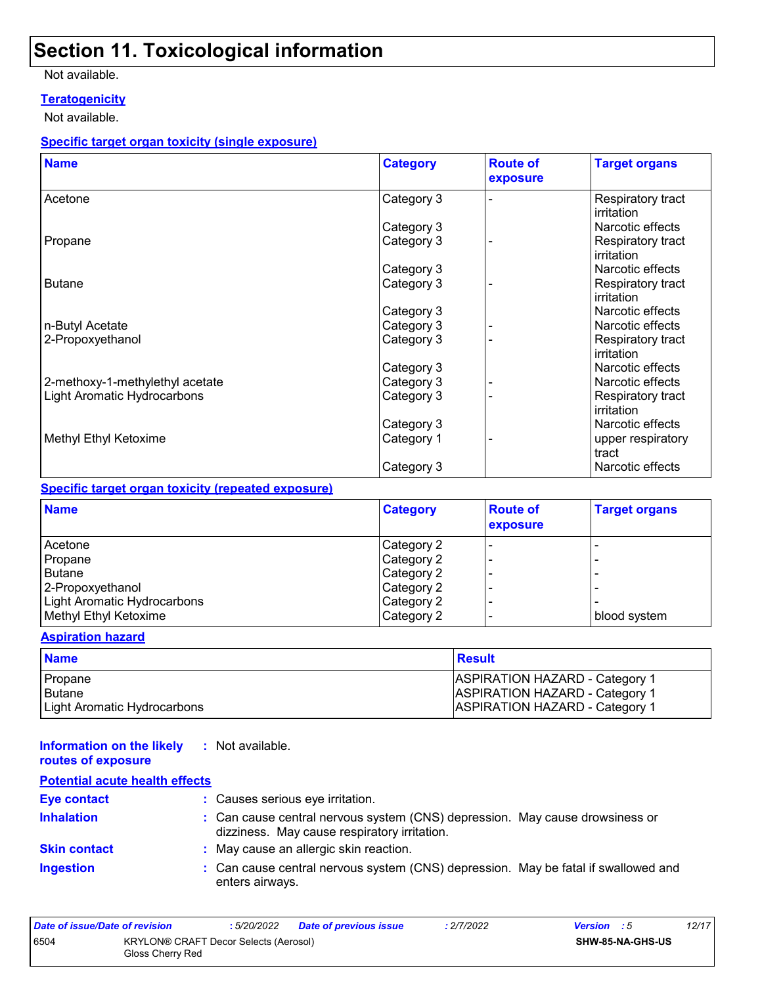## **Section 11. Toxicological information**

#### Not available.

#### **Teratogenicity**

Not available.

#### **Specific target organ toxicity (single exposure)**

| <b>Name</b>                     | <b>Category</b> | <b>Route of</b><br>exposure | <b>Target organs</b>            |
|---------------------------------|-----------------|-----------------------------|---------------------------------|
| Acetone                         | Category 3      |                             | Respiratory tract<br>irritation |
|                                 | Category 3      |                             | Narcotic effects                |
| Propane                         | Category 3      |                             | Respiratory tract<br>irritation |
|                                 | Category 3      |                             | Narcotic effects                |
| <b>Butane</b>                   | Category 3      |                             | Respiratory tract<br>irritation |
|                                 | Category 3      |                             | Narcotic effects                |
| n-Butyl Acetate                 | Category 3      |                             | Narcotic effects                |
| 2-Propoxyethanol                | Category 3      |                             | Respiratory tract<br>irritation |
|                                 | Category 3      |                             | Narcotic effects                |
| 2-methoxy-1-methylethyl acetate | Category 3      |                             | Narcotic effects                |
| Light Aromatic Hydrocarbons     | Category 3      |                             | Respiratory tract<br>irritation |
|                                 | Category 3      |                             | Narcotic effects                |
| Methyl Ethyl Ketoxime           | Category 1      |                             | upper respiratory<br>tract      |
|                                 | Category 3      |                             | Narcotic effects                |

#### **Specific target organ toxicity (repeated exposure)**

| <b>Name</b>                 | <b>Category</b> | <b>Route of</b><br>exposure | <b>Target organs</b> |
|-----------------------------|-----------------|-----------------------------|----------------------|
| Acetone                     | Category 2      |                             |                      |
| Propane                     | Category 2      |                             |                      |
| <b>Butane</b>               | Category 2      |                             |                      |
| 2-Propoxyethanol            | Category 2      |                             |                      |
| Light Aromatic Hydrocarbons | Category 2      |                             |                      |
| Methyl Ethyl Ketoxime       | Category 2      |                             | blood system         |

#### **Aspiration hazard**

| <b>Name</b>                 | <b>Result</b>                         |
|-----------------------------|---------------------------------------|
| Propane                     | <b>ASPIRATION HAZARD - Category 1</b> |
| Butane                      | <b>ASPIRATION HAZARD - Category 1</b> |
| Light Aromatic Hydrocarbons | <b>ASPIRATION HAZARD - Category 1</b> |

| Information on the likely<br>routes of exposure | : Not available.      |
|-------------------------------------------------|-----------------------|
| <b>Potential acute health effects</b>           |                       |
| Eyo contact                                     | $\cdot$ Coucas corial |

| <b>Eye contact</b>  | : Causes serious eye irritation.                                                                                             |
|---------------------|------------------------------------------------------------------------------------------------------------------------------|
| <b>Inhalation</b>   | : Can cause central nervous system (CNS) depression. May cause drowsiness or<br>dizziness. May cause respiratory irritation. |
| <b>Skin contact</b> | : May cause an allergic skin reaction.                                                                                       |
| <b>Ingestion</b>    | : Can cause central nervous system (CNS) depression. May be fatal if swallowed and<br>enters airways.                        |

| Date of issue/Date of revision |                                                           | : 5/20/2022 | <b>Date of previous issue</b> | : 2/7/2022              | <b>Version</b> : 5 | 12/17 |
|--------------------------------|-----------------------------------------------------------|-------------|-------------------------------|-------------------------|--------------------|-------|
| 6504                           | KRYLON® CRAFT Decor Selects (Aerosol)<br>Gloss Cherry Red |             |                               | <b>SHW-85-NA-GHS-US</b> |                    |       |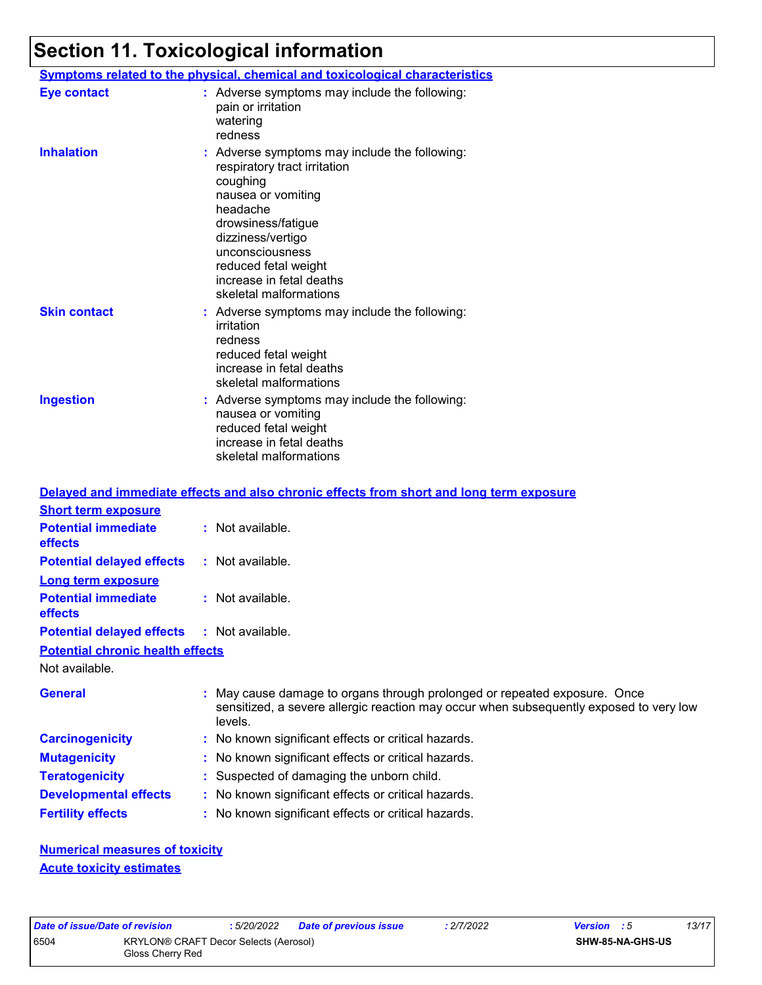## **Section 11. Toxicological information**

|                     | <b>Symptoms related to the physical, chemical and toxicological characteristics</b>                                                                                                                                                                                     |
|---------------------|-------------------------------------------------------------------------------------------------------------------------------------------------------------------------------------------------------------------------------------------------------------------------|
| <b>Eye contact</b>  | : Adverse symptoms may include the following:<br>pain or irritation<br>watering<br>redness                                                                                                                                                                              |
| <b>Inhalation</b>   | : Adverse symptoms may include the following:<br>respiratory tract irritation<br>coughing<br>nausea or vomiting<br>headache<br>drowsiness/fatigue<br>dizziness/vertigo<br>unconsciousness<br>reduced fetal weight<br>increase in fetal deaths<br>skeletal malformations |
| <b>Skin contact</b> | : Adverse symptoms may include the following:<br>irritation<br>redness<br>reduced fetal weight<br>increase in fetal deaths<br>skeletal malformations                                                                                                                    |
| <b>Ingestion</b>    | : Adverse symptoms may include the following:<br>nausea or vomiting<br>reduced fetal weight<br>increase in fetal deaths<br>skeletal malformations                                                                                                                       |

#### Not available. May cause damage to organs through prolonged or repeated exposure. Once sensitized, a severe allergic reaction may occur when subsequently exposed to very low levels. **General : Carcinogenicity :** No known significant effects or critical hazards. **Mutagenicity :** No known significant effects or critical hazards. **Teratogenicity :** Suspected of damaging the unborn child. **Developmental effects :** No known significant effects or critical hazards. **Fertility effects :** No known significant effects or critical hazards. **Potential chronic health effects Delayed and immediate effects and also chronic effects from short and long term exposure Potential immediate effects :** Not available. **Short term exposure Potential delayed effects :** Not available. **Potential immediate effects :** Not available. **Long term exposure Potential delayed effects :** Not available.

**Numerical measures of toxicity Acute toxicity estimates**

|                  | Date of issue/Date of revision | : 5/20/2022                                  | Date of previous issue | 2/7/2022 | <b>Version</b> : 5 | 13/17 |
|------------------|--------------------------------|----------------------------------------------|------------------------|----------|--------------------|-------|
| 6504             |                                | <b>KRYLON® CRAFT Decor Selects (Aerosol)</b> |                        |          | SHW-85-NA-GHS-US   |       |
| Gloss Cherry Red |                                |                                              |                        |          |                    |       |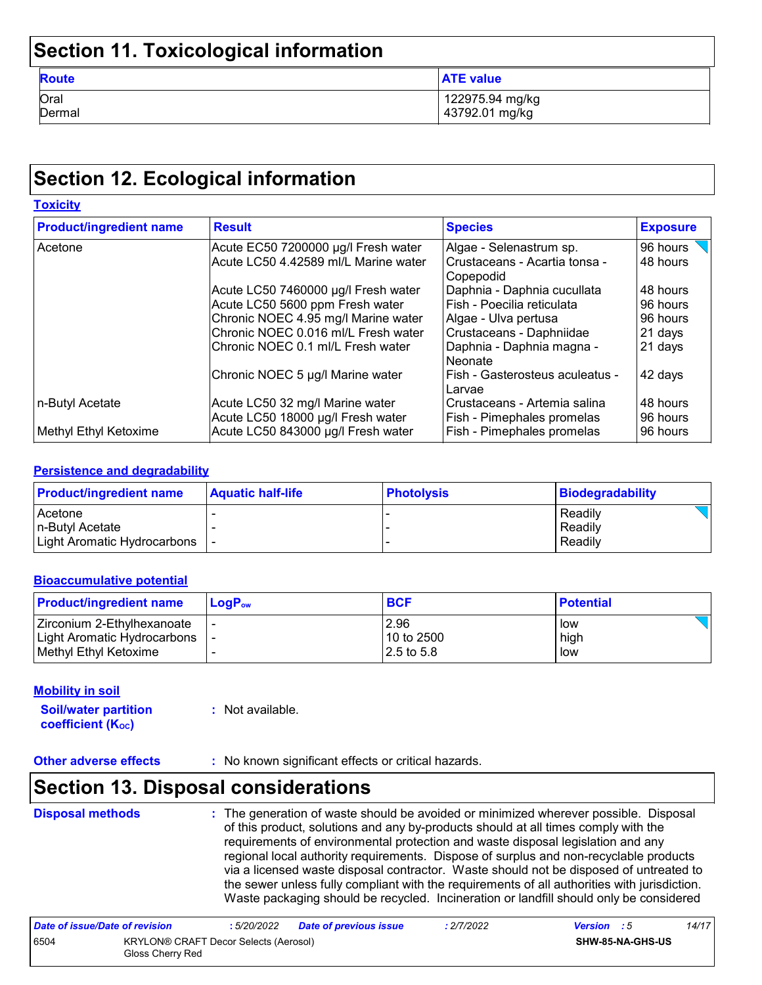## **Section 11. Toxicological information**

| <b>Route</b> | <b>ATE value</b> |
|--------------|------------------|
| Oral         | 122975.94 mg/kg  |
| Dermal       | 43792.01 mg/kg   |

## **Section 12. Ecological information**

| <b>Toxicity</b>                |                                                                             |                                                            |                      |  |
|--------------------------------|-----------------------------------------------------------------------------|------------------------------------------------------------|----------------------|--|
| <b>Product/ingredient name</b> | <b>Result</b>                                                               | <b>Species</b>                                             | <b>Exposure</b>      |  |
| Acetone                        | Acute EC50 7200000 µg/l Fresh water<br>Acute LC50 4.42589 ml/L Marine water | Algae - Selenastrum sp.<br>Crustaceans - Acartia tonsa -   | 96 hours<br>48 hours |  |
|                                |                                                                             | Copepodid                                                  |                      |  |
|                                | Acute LC50 7460000 µg/l Fresh water                                         | Daphnia - Daphnia cucullata                                | 48 hours             |  |
|                                | Acute LC50 5600 ppm Fresh water                                             | Fish - Poecilia reticulata                                 | 96 hours             |  |
|                                | Chronic NOEC 4.95 mg/l Marine water                                         | Algae - Ulva pertusa                                       | 96 hours             |  |
|                                | Chronic NOEC 0.016 ml/L Fresh water                                         | Crustaceans - Daphniidae                                   | 21 days              |  |
|                                | Chronic NOEC 0.1 ml/L Fresh water                                           | Daphnia - Daphnia magna -<br>Neonate                       | 21 days              |  |
|                                | Chronic NOEC 5 µg/l Marine water                                            | Fish - Gasterosteus aculeatus -<br>Larvae                  | 42 days              |  |
| ∣n-Butyl Acetate               | Acute LC50 32 mg/l Marine water<br>Acute LC50 18000 µg/l Fresh water        | Crustaceans - Artemia salina<br>Fish - Pimephales promelas | 48 hours<br>96 hours |  |
| Methyl Ethyl Ketoxime          | Acute LC50 843000 µg/l Fresh water                                          | Fish - Pimephales promelas                                 | 96 hours             |  |

#### **Persistence and degradability**

| <b>Product/ingredient name</b> | <b>Aquatic half-life</b> | <b>Photolysis</b> | Biodegradability |
|--------------------------------|--------------------------|-------------------|------------------|
| Acetone                        |                          |                   | Readily          |
| In-Butvl Acetate               |                          |                   | Readily          |
| Light Aromatic Hydrocarbons    |                          |                   | Readily          |

#### **Bioaccumulative potential**

| <b>Product/ingredient name</b> | $LoaPow$ | <b>BCF</b>   | <b>Potential</b> |
|--------------------------------|----------|--------------|------------------|
| I Zirconium 2-Ethylhexanoate   |          | 2.96         | l low            |
| Light Aromatic Hydrocarbons    |          | 10 to 2500   | high             |
| Methyl Ethyl Ketoxime          |          | l 2.5 to 5.8 | low              |

#### **Mobility in soil**

**Soil/water partition coefficient (KOC) :** Not available.

**Other adverse effects** : No known significant effects or critical hazards.

## **Section 13. Disposal considerations**

## **Disposal methods :**

The generation of waste should be avoided or minimized wherever possible. Disposal of this product, solutions and any by-products should at all times comply with the requirements of environmental protection and waste disposal legislation and any regional local authority requirements. Dispose of surplus and non-recyclable products via a licensed waste disposal contractor. Waste should not be disposed of untreated to the sewer unless fully compliant with the requirements of all authorities with jurisdiction. Waste packaging should be recycled. Incineration or landfill should only be considered

| Date of issue/Date of revision |                                                           | : 5/20/2022 | <b>Date of previous issue</b> | : 2/7/2022              | <b>Version</b> : 5 | 14/17 |
|--------------------------------|-----------------------------------------------------------|-------------|-------------------------------|-------------------------|--------------------|-------|
| 6504                           | KRYLON® CRAFT Decor Selects (Aerosol)<br>Gloss Cherry Red |             |                               | <b>SHW-85-NA-GHS-US</b> |                    |       |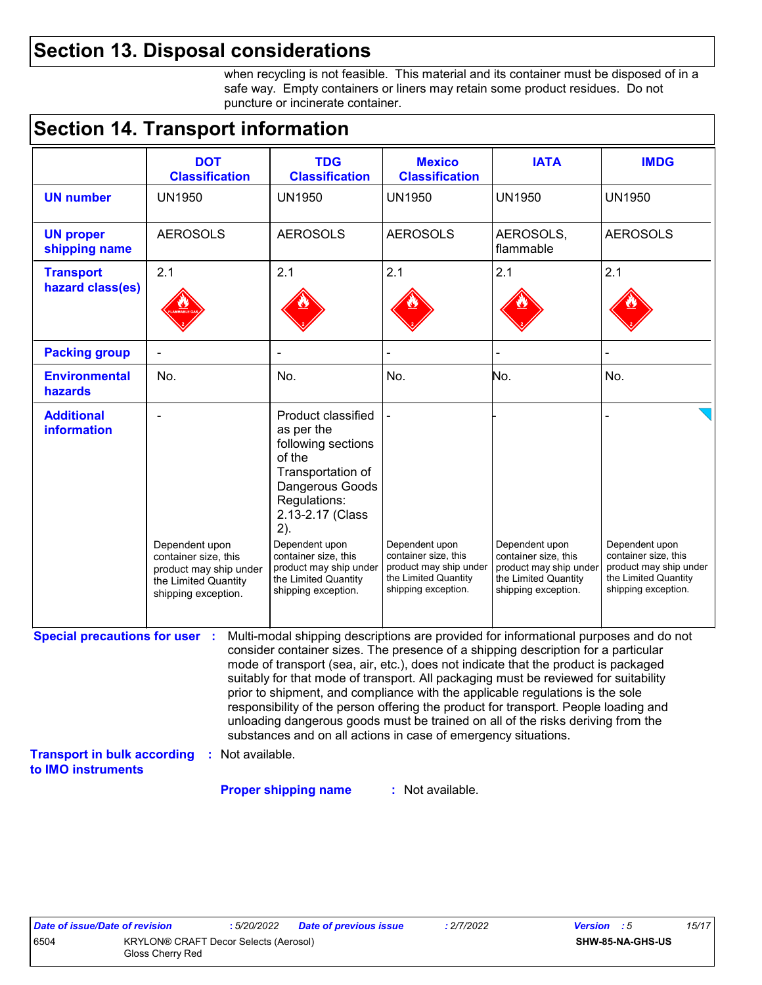## **Section 13. Disposal considerations**

when recycling is not feasible. This material and its container must be disposed of in a safe way. Empty containers or liners may retain some product residues. Do not puncture or incinerate container.

## **Section 14. Transport information**

|                                                          | <b>DOT</b><br><b>Classification</b>                                                                             | <b>TDG</b><br><b>Classification</b>                                                                                                                                                                                                                                                                                                                                                                                                                                                                                                                                                                                                                                                 | <b>Mexico</b><br><b>Classification</b>                                                                          | <b>IATA</b>                                                                                                     | <b>IMDG</b>                                                                                                     |
|----------------------------------------------------------|-----------------------------------------------------------------------------------------------------------------|-------------------------------------------------------------------------------------------------------------------------------------------------------------------------------------------------------------------------------------------------------------------------------------------------------------------------------------------------------------------------------------------------------------------------------------------------------------------------------------------------------------------------------------------------------------------------------------------------------------------------------------------------------------------------------------|-----------------------------------------------------------------------------------------------------------------|-----------------------------------------------------------------------------------------------------------------|-----------------------------------------------------------------------------------------------------------------|
| <b>UN number</b>                                         | <b>UN1950</b>                                                                                                   | <b>UN1950</b>                                                                                                                                                                                                                                                                                                                                                                                                                                                                                                                                                                                                                                                                       | <b>UN1950</b>                                                                                                   | <b>UN1950</b>                                                                                                   | <b>UN1950</b>                                                                                                   |
| <b>UN proper</b><br>shipping name                        | <b>AEROSOLS</b>                                                                                                 | <b>AEROSOLS</b>                                                                                                                                                                                                                                                                                                                                                                                                                                                                                                                                                                                                                                                                     | <b>AEROSOLS</b>                                                                                                 | AEROSOLS,<br>flammable                                                                                          | <b>AEROSOLS</b>                                                                                                 |
| <b>Transport</b><br>hazard class(es)                     | 2.1                                                                                                             | 2.1                                                                                                                                                                                                                                                                                                                                                                                                                                                                                                                                                                                                                                                                                 | 2.1                                                                                                             | 2.1                                                                                                             | 2.1                                                                                                             |
|                                                          |                                                                                                                 |                                                                                                                                                                                                                                                                                                                                                                                                                                                                                                                                                                                                                                                                                     |                                                                                                                 |                                                                                                                 |                                                                                                                 |
| <b>Packing group</b>                                     |                                                                                                                 |                                                                                                                                                                                                                                                                                                                                                                                                                                                                                                                                                                                                                                                                                     |                                                                                                                 |                                                                                                                 |                                                                                                                 |
| <b>Environmental</b><br>hazards                          | No.                                                                                                             | No.                                                                                                                                                                                                                                                                                                                                                                                                                                                                                                                                                                                                                                                                                 | No.                                                                                                             | No.                                                                                                             | No.                                                                                                             |
| <b>Additional</b><br><b>information</b>                  | Dependent upon<br>container size, this<br>product may ship under<br>the Limited Quantity<br>shipping exception. | Product classified<br>as per the<br>following sections<br>of the<br>Transportation of<br>Dangerous Goods<br>Regulations:<br>2.13-2.17 (Class<br>2).<br>Dependent upon<br>container size, this<br>product may ship under<br>the Limited Quantity<br>shipping exception.                                                                                                                                                                                                                                                                                                                                                                                                              | Dependent upon<br>container size, this<br>product may ship under<br>the Limited Quantity<br>shipping exception. | Dependent upon<br>container size, this<br>product may ship under<br>the Limited Quantity<br>shipping exception. | Dependent upon<br>container size, this<br>product may ship under<br>the Limited Quantity<br>shipping exception. |
| <b>Special precautions for user :</b>                    |                                                                                                                 | Multi-modal shipping descriptions are provided for informational purposes and do not<br>consider container sizes. The presence of a shipping description for a particular<br>mode of transport (sea, air, etc.), does not indicate that the product is packaged<br>suitably for that mode of transport. All packaging must be reviewed for suitability<br>prior to shipment, and compliance with the applicable regulations is the sole<br>responsibility of the person offering the product for transport. People loading and<br>unloading dangerous goods must be trained on all of the risks deriving from the<br>substances and on all actions in case of emergency situations. |                                                                                                                 |                                                                                                                 |                                                                                                                 |
| <b>Transport in bulk according</b><br>to IMO instruments | : Not available.                                                                                                |                                                                                                                                                                                                                                                                                                                                                                                                                                                                                                                                                                                                                                                                                     |                                                                                                                 |                                                                                                                 |                                                                                                                 |
|                                                          |                                                                                                                 | <b>Proper shipping name</b>                                                                                                                                                                                                                                                                                                                                                                                                                                                                                                                                                                                                                                                         | : Not available.                                                                                                |                                                                                                                 |                                                                                                                 |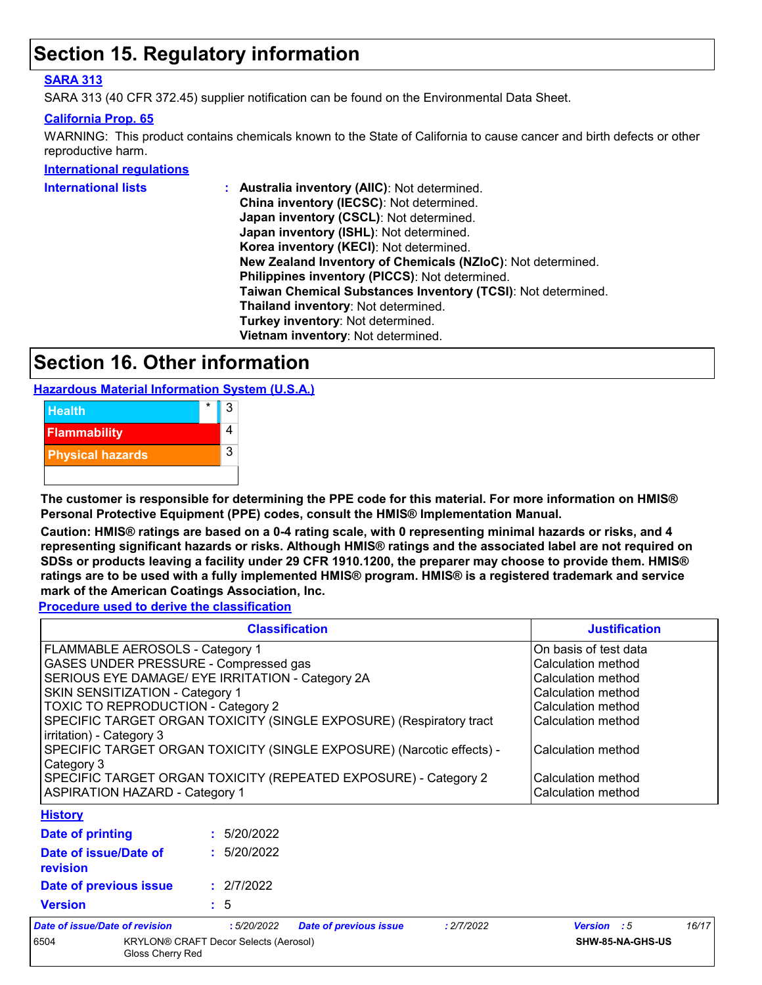## **Section 15. Regulatory information**

#### **SARA 313**

SARA 313 (40 CFR 372.45) supplier notification can be found on the Environmental Data Sheet.

#### **California Prop. 65**

WARNING: This product contains chemicals known to the State of California to cause cancer and birth defects or other reproductive harm.

#### **International regulations**

| International lists | : Australia inventory (AIIC): Not determined.                |
|---------------------|--------------------------------------------------------------|
|                     | China inventory (IECSC): Not determined.                     |
|                     | Japan inventory (CSCL): Not determined.                      |
|                     | Japan inventory (ISHL): Not determined.                      |
|                     | Korea inventory (KECI): Not determined.                      |
|                     | New Zealand Inventory of Chemicals (NZIoC): Not determined.  |
|                     | Philippines inventory (PICCS): Not determined.               |
|                     | Taiwan Chemical Substances Inventory (TCSI): Not determined. |
|                     | Thailand inventory: Not determined.                          |
|                     | Turkey inventory: Not determined.                            |
|                     | Vietnam inventory: Not determined.                           |
|                     |                                                              |

## **Section 16. Other information**

**Hazardous Material Information System (U.S.A.)**



**The customer is responsible for determining the PPE code for this material. For more information on HMIS® Personal Protective Equipment (PPE) codes, consult the HMIS® Implementation Manual.**

**Caution: HMIS® ratings are based on a 0-4 rating scale, with 0 representing minimal hazards or risks, and 4 representing significant hazards or risks. Although HMIS® ratings and the associated label are not required on SDSs or products leaving a facility under 29 CFR 1910.1200, the preparer may choose to provide them. HMIS® ratings are to be used with a fully implemented HMIS® program. HMIS® is a registered trademark and service mark of the American Coatings Association, Inc.**

**Procedure used to derive the classification**

Gloss Cherry Red

|                                                                                     | <b>Justification</b>                                                |                               |                    |                       |                  |
|-------------------------------------------------------------------------------------|---------------------------------------------------------------------|-------------------------------|--------------------|-----------------------|------------------|
| FLAMMABLE AEROSOLS - Category 1                                                     |                                                                     |                               |                    | On basis of test data |                  |
| GASES UNDER PRESSURE - Compressed gas                                               |                                                                     |                               |                    | Calculation method    |                  |
| SERIOUS EYE DAMAGE/ EYE IRRITATION - Category 2A                                    |                                                                     |                               |                    | Calculation method    |                  |
| SKIN SENSITIZATION - Category 1                                                     |                                                                     |                               |                    | Calculation method    |                  |
| <b>TOXIC TO REPRODUCTION - Category 2</b>                                           |                                                                     |                               |                    | Calculation method    |                  |
| irritation) - Category 3                                                            | SPECIFIC TARGET ORGAN TOXICITY (SINGLE EXPOSURE) (Respiratory tract |                               |                    |                       |                  |
| SPECIFIC TARGET ORGAN TOXICITY (SINGLE EXPOSURE) (Narcotic effects) -<br>Category 3 |                                                                     |                               |                    | Calculation method    |                  |
| SPECIFIC TARGET ORGAN TOXICITY (REPEATED EXPOSURE) - Category 2                     |                                                                     |                               | Calculation method |                       |                  |
| <b>ASPIRATION HAZARD - Category 1</b>                                               |                                                                     |                               | Calculation method |                       |                  |
| <b>History</b>                                                                      |                                                                     |                               |                    |                       |                  |
| Date of printing                                                                    | : 5/20/2022                                                         |                               |                    |                       |                  |
| Date of issue/Date of<br>revision                                                   | : 5/20/2022                                                         |                               |                    |                       |                  |
| Date of previous issue                                                              | : 2/7/2022                                                          |                               |                    |                       |                  |
| <b>Version</b>                                                                      | : 5                                                                 |                               |                    |                       |                  |
| Date of issue/Date of revision                                                      | :5/20/2022                                                          | <b>Date of previous issue</b> | : 2/7/2022         | <b>Version</b> : 5    | 16/17            |
| 6504                                                                                | <b>KRYLON® CRAFT Decor Selects (Aerosol)</b>                        |                               |                    |                       | SHW-85-NA-GHS-US |